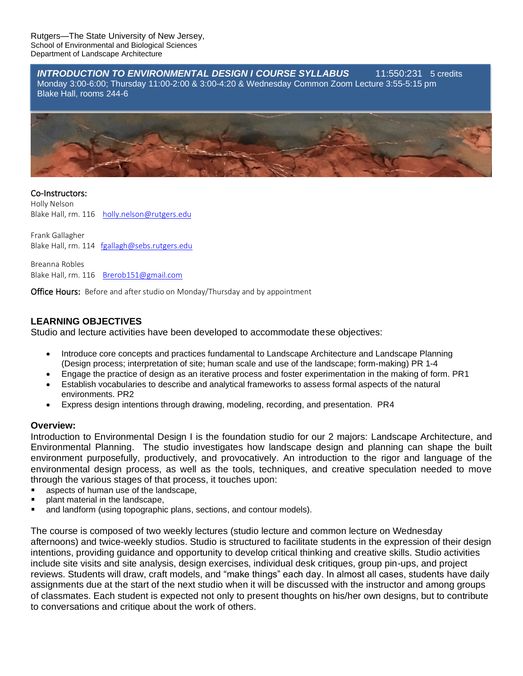*INTRODUCTION TO ENVIRONMENTAL DESIGN I COURSE SYLLABUS* 11:550:231 5 credits Monday 3:00-6:00; Thursday 11:00-2:00 & 3:00-4:20 & Wednesday Common Zoom Lecture 3:55-5:15 pm Blake Hall, rooms 244-6



#### Co-Instructors:

Holly Nelson Blake Hall, rm. 116 [holly.nelson@rutgers.edu](mailto:holly.nelson@rutgers.edu)

Frank Gallagher Blake Hall, rm. 114 [fgallagh@sebs.rutgers.edu](mailto:fgallagh@sebs.rutgers.edu)

Breanna Robles Blake Hall, rm. 116 [Brerob151@gmail.com](mailto:Brerob151@gmail.com)

Office Hours: Before and after studio on Monday/Thursday and by appointment

## **LEARNING OBJECTIVES**

Studio and lecture activities have been developed to accommodate these objectives:

- Introduce core concepts and practices fundamental to Landscape Architecture and Landscape Planning (Design process; interpretation of site; human scale and use of the landscape; form-making) PR 1-4
- Engage the practice of design as an iterative process and foster experimentation in the making of form. PR1
- Establish vocabularies to describe and analytical frameworks to assess formal aspects of the natural environments. PR2
- Express design intentions through drawing, modeling, recording, and presentation. PR4

#### **Overview:**

Introduction to Environmental Design I is the foundation studio for our 2 majors: Landscape Architecture, and Environmental Planning. The studio investigates how landscape design and planning can shape the built environment purposefully, productively, and provocatively. An introduction to the rigor and language of the environmental design process, as well as the tools, techniques, and creative speculation needed to move through the various stages of that process, it touches upon:

- aspects of human use of the landscape,
- plant material in the landscape,
- and landform (using topographic plans, sections, and contour models).

The course is composed of two weekly lectures (studio lecture and common lecture on Wednesday afternoons) and twice-weekly studios. Studio is structured to facilitate students in the expression of their design intentions, providing guidance and opportunity to develop critical thinking and creative skills. Studio activities include site visits and site analysis, design exercises, individual desk critiques, group pin-ups, and project reviews. Students will draw, craft models, and "make things" each day. In almost all cases, students have daily assignments due at the start of the next studio when it will be discussed with the instructor and among groups of classmates. Each student is expected not only to present thoughts on his/her own designs, but to contribute to conversations and critique about the work of others.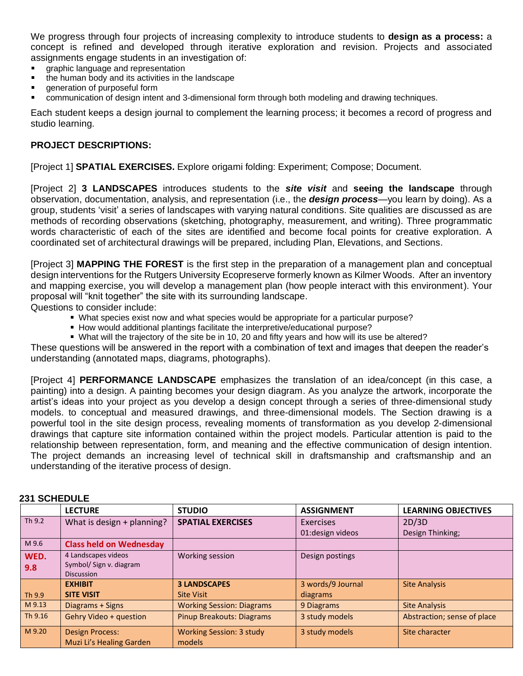We progress through four projects of increasing complexity to introduce students to **design as a process:** a concept is refined and developed through iterative exploration and revision. Projects and associated assignments engage students in an investigation of:

- graphic language and representation
- the human body and its activities in the landscape
- $\blacksquare$ generation of purposeful form
- communication of design intent and 3-dimensional form through both modeling and drawing techniques.

Each student keeps a design journal to complement the learning process; it becomes a record of progress and studio learning.

## **PROJECT DESCRIPTIONS:**

[Project 1] **SPATIAL EXERCISES.** Explore origami folding: Experiment; Compose; Document.

[Project 2] **3 LANDSCAPES** introduces students to the *site visit* and **seeing the landscape** through observation, documentation, analysis, and representation (i.e., the *design process*—you learn by doing). As a group, students 'visit' a series of landscapes with varying natural conditions. Site qualities are discussed as are methods of recording observations (sketching, photography, measurement, and writing). Three programmatic words characteristic of each of the sites are identified and become focal points for creative exploration. A coordinated set of architectural drawings will be prepared, including Plan, Elevations, and Sections.

[Project 3] **MAPPING THE FOREST** is the first step in the preparation of a management plan and conceptual design interventions for the Rutgers University Ecopreserve formerly known as Kilmer Woods. After an inventory and mapping exercise, you will develop a management plan (how people interact with this environment). Your proposal will "knit together" the site with its surrounding landscape.

Questions to consider include:

- What species exist now and what species would be appropriate for a particular purpose?
- **How would additional plantings facilitate the interpretive/educational purpose?**
- What will the trajectory of the site be in 10, 20 and fifty years and how will its use be altered?

These questions will be answered in the report with a combination of text and images that deepen the reader's understanding (annotated maps, diagrams, photographs).

[Project 4] **PERFORMANCE LANDSCAPE** emphasizes the translation of an idea/concept (in this case, a painting) into a design. A painting becomes your design diagram. As you analyze the artwork, incorporate the artist's ideas into your project as you develop a design concept through a series of three-dimensional study models. to conceptual and measured drawings, and three-dimensional models. The Section drawing is a powerful tool in the site design process, revealing moments of transformation as you develop 2-dimensional drawings that capture site information contained within the project models. Particular attention is paid to the relationship between representation, form, and meaning and the effective communication of design intention. The project demands an increasing level of technical skill in draftsmanship and craftsmanship and an understanding of the iterative process of design.

|         | <b>LECTURE</b>                               | <b>STUDIO</b>                    | <b>ASSIGNMENT</b> | <b>LEARNING OBJECTIVES</b>  |
|---------|----------------------------------------------|----------------------------------|-------------------|-----------------------------|
| Th 9.2  | What is design $+$ planning?                 | <b>SPATIAL EXERCISES</b>         | Exercises         | 2D/3D                       |
|         |                                              |                                  | 01: design videos | Design Thinking;            |
| M 9.6   | <b>Class held on Wednesday</b>               |                                  |                   |                             |
| WED.    | 4 Landscapes videos                          | Working session                  | Design postings   |                             |
| 9.8     | Symbol/ Sign v. diagram<br><b>Discussion</b> |                                  |                   |                             |
|         | <b>EXHIBIT</b>                               | <b>3 LANDSCAPES</b>              | 3 words/9 Journal | <b>Site Analysis</b>        |
| Th 9.9  | <b>SITE VISIT</b>                            | <b>Site Visit</b>                | diagrams          |                             |
| M 9.13  | Diagrams + Signs                             | <b>Working Session: Diagrams</b> | 9 Diagrams        | <b>Site Analysis</b>        |
| Th 9.16 | <b>Gehry Video + question</b>                | <b>Pinup Breakouts: Diagrams</b> | 3 study models    | Abstraction; sense of place |
| M 9.20  | <b>Design Process:</b>                       | <b>Working Session: 3 study</b>  | 3 study models    | Site character              |
|         | <b>Muzi Li's Healing Garden</b>              | models                           |                   |                             |

## **231 SCHEDULE**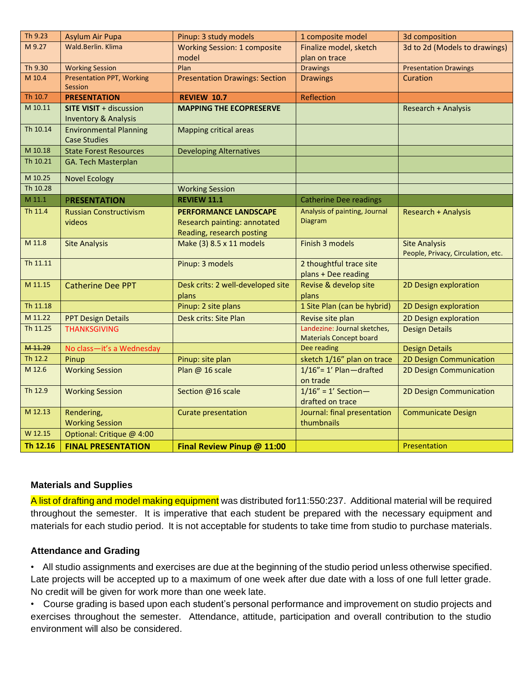| Th 9.23  | <b>Asylum Air Pupa</b>                                            | Pinup: 3 study models                      | 1 composite model                                              | 3d composition                                             |
|----------|-------------------------------------------------------------------|--------------------------------------------|----------------------------------------------------------------|------------------------------------------------------------|
| M 9.27   | Wald.Berlin, Klima                                                | <b>Working Session: 1 composite</b>        | Finalize model, sketch                                         | 3d to 2d (Models to drawings)                              |
|          |                                                                   | model                                      | plan on trace                                                  |                                                            |
| Th 9.30  | <b>Working Session</b>                                            | Plan                                       | <b>Drawings</b>                                                | <b>Presentation Drawings</b>                               |
| M 10.4   | <b>Presentation PPT, Working</b>                                  | <b>Presentation Drawings: Section</b>      | <b>Drawings</b>                                                | Curation                                                   |
|          | <b>Session</b>                                                    |                                            |                                                                |                                                            |
| Th 10.7  | <b>PRESENTATION</b>                                               | <b>REVIEW 10.7</b>                         | Reflection                                                     |                                                            |
| M 10.11  | <b>SITE VISIT + discussion</b><br><b>Inventory &amp; Analysis</b> | <b>MAPPING THE ECOPRESERVE</b>             |                                                                | <b>Research + Analysis</b>                                 |
| Th 10.14 | <b>Environmental Planning</b><br><b>Case Studies</b>              | <b>Mapping critical areas</b>              |                                                                |                                                            |
| M 10.18  | <b>State Forest Resources</b>                                     | <b>Developing Alternatives</b>             |                                                                |                                                            |
| Th 10.21 | GA. Tech Masterplan                                               |                                            |                                                                |                                                            |
| M 10.25  | <b>Novel Ecology</b>                                              |                                            |                                                                |                                                            |
| Th 10.28 |                                                                   | <b>Working Session</b>                     |                                                                |                                                            |
| M 11.1   | <b>PRESENTATION</b>                                               | <b>REVIEW 11.1</b>                         | <b>Catherine Dee readings</b>                                  |                                                            |
| Th 11.4  | <b>Russian Constructivism</b>                                     | <b>PERFORMANCE LANDSCAPE</b>               | Analysis of painting, Journal                                  | <b>Research + Analysis</b>                                 |
|          | videos                                                            | Research painting: annotated               | Diagram                                                        |                                                            |
|          |                                                                   | Reading, research posting                  |                                                                |                                                            |
| M 11.8   | <b>Site Analysis</b>                                              | Make (3) 8.5 x 11 models                   | Finish 3 models                                                | <b>Site Analysis</b><br>People, Privacy, Circulation, etc. |
| Th 11.11 |                                                                   | Pinup: 3 models                            | 2 thoughtful trace site                                        |                                                            |
|          |                                                                   |                                            | plans + Dee reading                                            |                                                            |
| M 11.15  | <b>Catherine Dee PPT</b>                                          | Desk crits: 2 well-developed site<br>plans | Revise & develop site<br>plans                                 | 2D Design exploration                                      |
| Th 11.18 |                                                                   | Pinup: 2 site plans                        | 1 Site Plan (can be hybrid)                                    | 2D Design exploration                                      |
| M 11.22  | <b>PPT Design Details</b>                                         | <b>Desk crits: Site Plan</b>               | Revise site plan                                               | 2D Design exploration                                      |
| Th 11.25 | <b>THANKSGIVING</b>                                               |                                            | Landezine: Journal sketches,<br><b>Materials Concept board</b> | <b>Design Details</b>                                      |
| M 11.29  | No class-it's a Wednesday                                         |                                            | Dee reading                                                    | <b>Design Details</b>                                      |
| Th 12.2  | Pinup                                                             | Pinup: site plan                           | sketch 1/16" plan on trace                                     | 2D Design Communication                                    |
| M 12.6   | <b>Working Session</b>                                            | Plan @ 16 scale                            | $1/16" = 1'$ Plan-drafted<br>on trade                          | 2D Design Communication                                    |
| Th 12.9  | <b>Working Session</b>                                            | Section @16 scale                          | $1/16" = 1' Section -$                                         | 2D Design Communication                                    |
| M 12.13  |                                                                   |                                            | drafted on trace                                               |                                                            |
|          | Rendering,                                                        | Curate presentation                        | Journal: final presentation<br>thumbnails                      | <b>Communicate Design</b>                                  |
| W 12.15  | <b>Working Session</b>                                            |                                            |                                                                |                                                            |
|          | Optional: Critique @ 4:00                                         |                                            |                                                                |                                                            |
| Th 12.16 | <b>FINAL PRESENTATION</b>                                         | Final Review Pinup @ 11:00                 |                                                                | Presentation                                               |

## **Materials and Supplies**

A list of drafting and model making equipment was distributed for11:550:237. Additional material will be required throughout the semester. It is imperative that each student be prepared with the necessary equipment and materials for each studio period. It is not acceptable for students to take time from studio to purchase materials.

## **Attendance and Grading**

• All studio assignments and exercises are due at the beginning of the studio period unless otherwise specified. Late projects will be accepted up to a maximum of one week after due date with a loss of one full letter grade. No credit will be given for work more than one week late.

• Course grading is based upon each student's personal performance and improvement on studio projects and exercises throughout the semester. Attendance, attitude, participation and overall contribution to the studio environment will also be considered.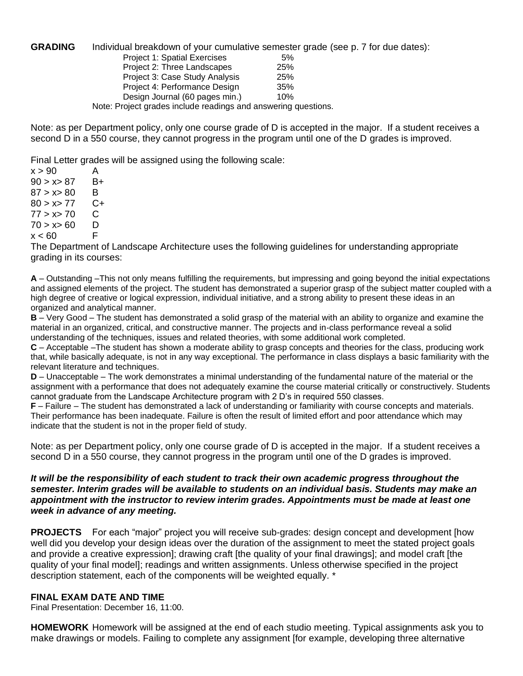#### **GRADING** Individual breakdown of your cumulative semester grade (see p. 7 for due dates):

| Project 1: Spatial Exercises                                   | 5%  |
|----------------------------------------------------------------|-----|
| Project 2: Three Landscapes                                    | 25% |
| Project 3: Case Study Analysis                                 | 25% |
| Project 4: Performance Design                                  | 35% |
| Design Journal (60 pages min.)                                 | 10% |
| Note: Project grades include readings and answering questions. |     |

Note: as per Department policy, only one course grade of D is accepted in the major. If a student receives a second D in a 550 course, they cannot progress in the program until one of the D grades is improved.

Final Letter grades will be assigned using the following scale:

 $x > 90$  A  $90 > x > 87$  B+  $87 > x > 80$  B  $80 > x > 77$  C+  $77 > x > 70$  C  $70 > x > 60$  D<br> $x < 60$  F  $x < 60$ 

The Department of Landscape Architecture uses the following guidelines for understanding appropriate grading in its courses:

**A** – Outstanding –This not only means fulfilling the requirements, but impressing and going beyond the initial expectations and assigned elements of the project. The student has demonstrated a superior grasp of the subject matter coupled with a high degree of creative or logical expression, individual initiative, and a strong ability to present these ideas in an organized and analytical manner.

**B** – Very Good – The student has demonstrated a solid grasp of the material with an ability to organize and examine the material in an organized, critical, and constructive manner. The projects and in‐class performance reveal a solid understanding of the techniques, issues and related theories, with some additional work completed.

**C** – Acceptable –The student has shown a moderate ability to grasp concepts and theories for the class, producing work that, while basically adequate, is not in any way exceptional. The performance in class displays a basic familiarity with the relevant literature and techniques.

**D** – Unacceptable – The work demonstrates a minimal understanding of the fundamental nature of the material or the assignment with a performance that does not adequately examine the course material critically or constructively. Students cannot graduate from the Landscape Architecture program with 2 D's in required 550 classes.

**F** – Failure – The student has demonstrated a lack of understanding or familiarity with course concepts and materials. Their performance has been inadequate. Failure is often the result of limited effort and poor attendance which may indicate that the student is not in the proper field of study.

Note: as per Department policy, only one course grade of D is accepted in the major. If a student receives a second D in a 550 course, they cannot progress in the program until one of the D grades is improved.

#### *It will be the responsibility of each student to track their own academic progress throughout the semester. Interim grades will be available to students on an individual basis. Students may make an appointment with the instructor to review interim grades. Appointments must be made at least one week in advance of any meeting.*

**PROJECTS** For each "major" project you will receive sub-grades: design concept and development [how well did you develop your design ideas over the duration of the assignment to meet the stated project goals and provide a creative expression]; drawing craft [the quality of your final drawings]; and model craft [the quality of your final model]; readings and written assignments. Unless otherwise specified in the project description statement, each of the components will be weighted equally. \*

## **FINAL EXAM DATE AND TIME**

Final Presentation: December 16, 11:00.

**HOMEWORK** Homework will be assigned at the end of each studio meeting. Typical assignments ask you to make drawings or models. Failing to complete any assignment [for example, developing three alternative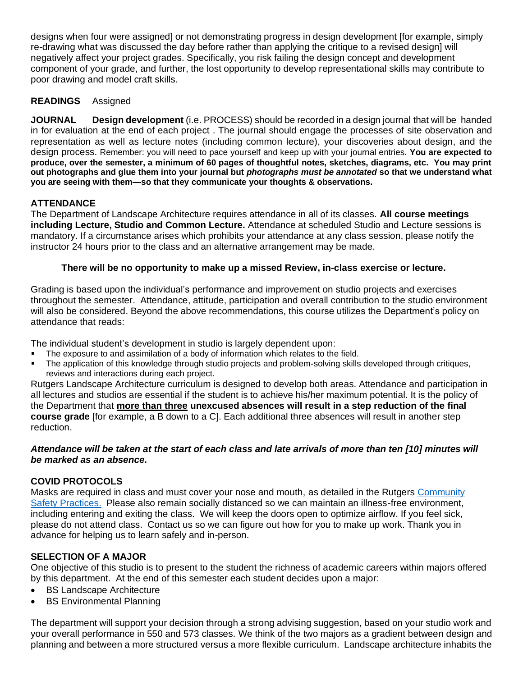designs when four were assigned] or not demonstrating progress in design development [for example, simply re-drawing what was discussed the day before rather than applying the critique to a revised design] will negatively affect your project grades. Specifically, you risk failing the design concept and development component of your grade, and further, the lost opportunity to develop representational skills may contribute to poor drawing and model craft skills.

# **READINGS** Assigned

**JOURNAL Design development** (i.e. PROCESS) should be recorded in a design journal that will be handed in for evaluation at the end of each project . The journal should engage the processes of site observation and representation as well as lecture notes (including common lecture), your discoveries about design, and the design process. Remember: you will need to pace yourself and keep up with your journal entries. **You are expected to produce, over the semester, a minimum of 60 pages of thoughtful notes, sketches, diagrams, etc. You may print out photographs and glue them into your journal but** *photographs must be annotated* **so that we understand what you are seeing with them—so that they communicate your thoughts & observations.**

# **ATTENDANCE**

The Department of Landscape Architecture requires attendance in all of its classes. **All course meetings including Lecture, Studio and Common Lecture.** Attendance at scheduled Studio and Lecture sessions is mandatory. If a circumstance arises which prohibits your attendance at any class session, please notify the instructor 24 hours prior to the class and an alternative arrangement may be made.

## **There will be no opportunity to make up a missed Review, in-class exercise or lecture.**

Grading is based upon the individual's performance and improvement on studio projects and exercises throughout the semester. Attendance, attitude, participation and overall contribution to the studio environment will also be considered. Beyond the above recommendations, this course utilizes the Department's policy on attendance that reads:

The individual student's development in studio is largely dependent upon:

- The exposure to and assimilation of a body of information which relates to the field.
- The application of this knowledge through studio projects and problem‐solving skills developed through critiques, reviews and interactions during each project.

Rutgers Landscape Architecture curriculum is designed to develop both areas. Attendance and participation in all lectures and studios are essential if the student is to achieve his/her maximum potential. It is the policy of the Department that **more than three unexcused absences will result in a step reduction of the final course grade** [for example, a B down to a C]. Each additional three absences will result in another step reduction.

## *Attendance will be taken at the start of each class and late arrivals of more than ten [10] minutes will be marked as an absence.*

## **COVID PROTOCOLS**

Masks are required in class and must cover your nose and mouth, as detailed in the Rutgers [Community](https://coronavirus.rutgers.edu/health-and-safety/community-safety-practices/)  [Safety Practices.](https://coronavirus.rutgers.edu/health-and-safety/community-safety-practices/) Please also remain socially distanced so we can maintain an illness-free environment, including entering and exiting the class. We will keep the doors open to optimize airflow. If you feel sick, please do not attend class. Contact us so we can figure out how for you to make up work. Thank you in advance for helping us to learn safely and in-person.

## **SELECTION OF A MAJOR**

One objective of this studio is to present to the student the richness of academic careers within majors offered by this department. At the end of this semester each student decides upon a major:

- BS Landscape Architecture
- **BS Environmental Planning**

The department will support your decision through a strong advising suggestion, based on your studio work and your overall performance in 550 and 573 classes. We think of the two majors as a gradient between design and planning and between a more structured versus a more flexible curriculum. Landscape architecture inhabits the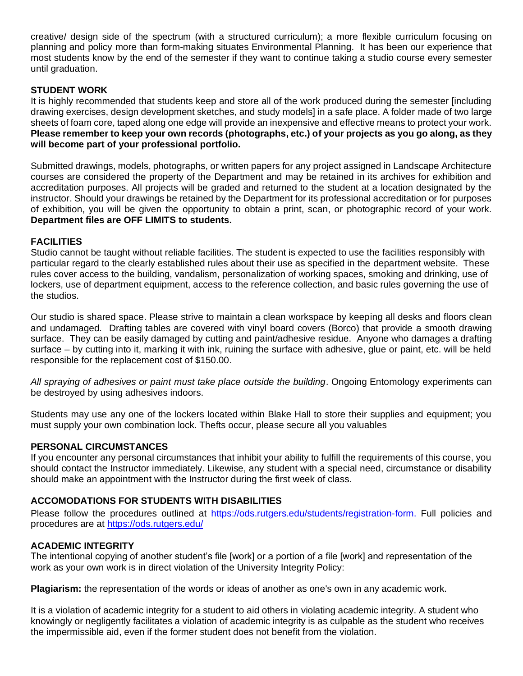creative/ design side of the spectrum (with a structured curriculum); a more flexible curriculum focusing on planning and policy more than form-making situates Environmental Planning. It has been our experience that most students know by the end of the semester if they want to continue taking a studio course every semester until graduation.

# **STUDENT WORK**

It is highly recommended that students keep and store all of the work produced during the semester [including drawing exercises, design development sketches, and study models] in a safe place. A folder made of two large sheets of foam core, taped along one edge will provide an inexpensive and effective means to protect your work. **Please remember to keep your own records (photographs, etc.) of your projects as you go along, as they will become part of your professional portfolio.**

Submitted drawings, models, photographs, or written papers for any project assigned in Landscape Architecture courses are considered the property of the Department and may be retained in its archives for exhibition and accreditation purposes. All projects will be graded and returned to the student at a location designated by the instructor. Should your drawings be retained by the Department for its professional accreditation or for purposes of exhibition, you will be given the opportunity to obtain a print, scan, or photographic record of your work. **Department files are OFF LIMITS to students.**

# **FACILITIES**

Studio cannot be taught without reliable facilities. The student is expected to use the facilities responsibly with particular regard to the clearly established rules about their use as specified in the department website. These rules cover access to the building, vandalism, personalization of working spaces, smoking and drinking, use of lockers, use of department equipment, access to the reference collection, and basic rules governing the use of the studios.

Our studio is shared space. Please strive to maintain a clean workspace by keeping all desks and floors clean and undamaged*.* Drafting tables are covered with vinyl board covers (Borco) that provide a smooth drawing surface. They can be easily damaged by cutting and paint/adhesive residue. Anyone who damages a drafting surface – by cutting into it, marking it with ink, ruining the surface with adhesive, glue or paint, etc. will be held responsible for the replacement cost of \$150.00.

*All spraying of adhesives or paint must take place outside the building*. Ongoing Entomology experiments can be destroyed by using adhesives indoors.

Students may use any one of the lockers located within Blake Hall to store their supplies and equipment; you must supply your own combination lock. Thefts occur, please secure all you valuables

## **PERSONAL CIRCUMSTANCES**

If you encounter any personal circumstances that inhibit your ability to fulfill the requirements of this course, you should contact the Instructor immediately. Likewise, any student with a special need, circumstance or disability should make an appointment with the Instructor during the first week of class.

## **ACCOMODATIONS FOR STUDENTS WITH DISABILITIES**

Please follow the procedures outlined at [https://ods.rutgers.edu/students/registration-form.](https://ods.rutgers.edu/students/registration-form) Full policies and procedures are at<https://ods.rutgers.edu/>

## **ACADEMIC INTEGRITY**

The intentional copying of another student's file [work] or a portion of a file [work] and representation of the work as your own work is in direct violation of the University Integrity Policy:

**Plagiarism:** the representation of the words or ideas of another as one's own in any academic work.

It is a violation of academic integrity for a student to aid others in violating academic integrity. A student who knowingly or negligently facilitates a violation of academic integrity is as culpable as the student who receives the impermissible aid, even if the former student does not benefit from the violation.